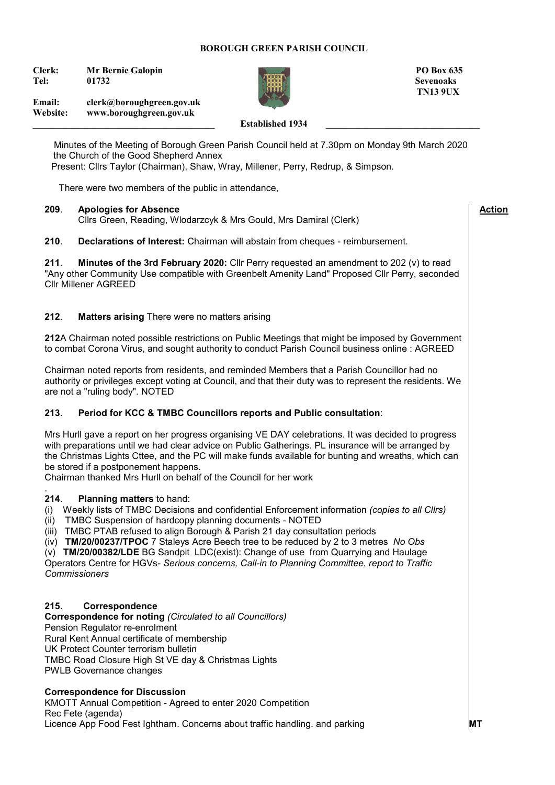### **BOROUGH GREEN PARISH COUNCIL**

**Clerk:** Mr Bernie Galopin **PO Box 635 Tel: 01732 Sevenoaks**



 **Action**

**Email: clerk@boroughgreen.gov.uk Website: www.boroughgreen.gov.uk**

# Established 1934

 Minutes of the Meeting of Borough Green Parish Council held at 7.30pm on Monday 9th March 2020 the Church of the Good Shepherd Annex Present: Cllrs Taylor (Chairman), Shaw, Wray, Millener, Perry, Redrup, & Simpson.

There were two members of the public in attendance,

### **209**. **Apologies for Absence**

Cllrs Green, Reading, Wlodarzcyk & Mrs Gould, Mrs Damiral (Clerk)

**210**. **Declarations of Interest:** Chairman will abstain from cheques - reimbursement.

**211**. **Minutes of the 3rd February 2020:** Cllr Perry requested an amendment to 202 (v) to read "Any other Community Use compatible with Greenbelt Amenity Land" Proposed Cllr Perry, seconded Cllr Millener AGREED

# **212**. **Matters arising** There were no matters arising

**212**A Chairman noted possible restrictions on Public Meetings that might be imposed by Government to combat Corona Virus, and sought authority to conduct Parish Council business online : AGREED

Chairman noted reports from residents, and reminded Members that a Parish Councillor had no authority or privileges except voting at Council, and that their duty was to represent the residents. We are not a "ruling body". NOTED

# **213**. **Period for KCC & TMBC Councillors reports and Public consultation**:

Mrs Hurll gave a report on her progress organising VE DAY celebrations. It was decided to progress with preparations until we had clear advice on Public Gatherings. PL insurance will be arranged by the Christmas Lights Cttee, and the PC will make funds available for bunting and wreaths, which can be stored if a postponement happens.

Chairman thanked Mrs Hurll on behalf of the Council for her work

#### . **214**. **Planning matters** to hand:

(i) Weekly lists of TMBC Decisions and confidential Enforcement information *(copies to all Cllrs)*

(ii) TMBC Suspension of hardcopy planning documents - NOTED

(iii) TMBC PTAB refused to align Borough & Parish 21 day consultation periods

(iv) **TM/20/00237/TPOC** 7 Staleys Acre Beech tree to be reduced by 2 to 3 metres *No Obs*

(v) **TM/20/00382/LDE** BG SandpitLDC(exist): Change of use from Quarrying and Haulage

Operators Centre for HGVs- *Serious concerns, Call-in to Planning Committee, report to Traffic Commissioners*

# **215**. **Correspondence**

**Correspondence for noting** *(Circulated to all Councillors)* Pension Regulator re-enrolment Rural Kent Annual certificate of membership UK Protect Counter terrorism bulletin TMBC Road Closure High St VE day & Christmas Lights PWLB Governance changes

# **Correspondence for Discussion**

KMOTT Annual Competition - Agreed to enter 2020 Competition Rec Fete (agenda) Licence App Food Fest Ightham. Concerns about traffic handling. and parking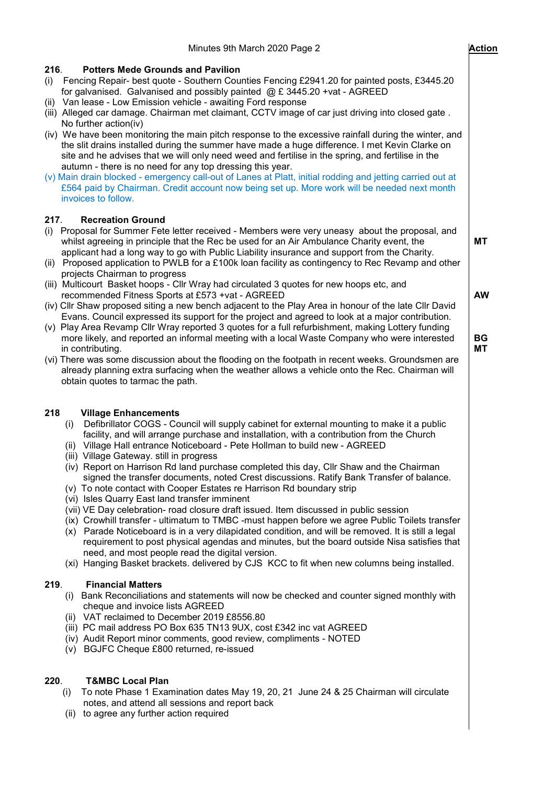| Minutes 9th March 2020 Page 2                                                                                                                                                                                                                                                                                                                                                                                                                                                                                                                    | <b>Action</b>          |
|--------------------------------------------------------------------------------------------------------------------------------------------------------------------------------------------------------------------------------------------------------------------------------------------------------------------------------------------------------------------------------------------------------------------------------------------------------------------------------------------------------------------------------------------------|------------------------|
| 216.<br><b>Potters Mede Grounds and Pavilion</b><br>Fencing Repair- best quote - Southern Counties Fencing £2941.20 for painted posts, £3445.20<br>(i)<br>for galvanised. Galvanised and possibly painted $(2)$ £ 3445.20 +vat - AGREED<br>(ii) Van lease - Low Emission vehicle - awaiting Ford response<br>(iii) Alleged car damage. Chairman met claimant, CCTV image of car just driving into closed gate.<br>No further action(iv)                                                                                                          |                        |
| (iv) We have been monitoring the main pitch response to the excessive rainfall during the winter, and<br>the slit drains installed during the summer have made a huge difference. I met Kevin Clarke on<br>site and he advises that we will only need weed and fertilise in the spring, and fertilise in the<br>autumn - there is no need for any top dressing this year.<br>(v) Main drain blocked - emergency call-out of Lanes at Platt, initial rodding and jetting carried out at                                                           |                        |
| £564 paid by Chairman. Credit account now being set up. More work will be needed next month<br>invoices to follow.                                                                                                                                                                                                                                                                                                                                                                                                                               |                        |
| 217.<br><b>Recreation Ground</b><br>Proposal for Summer Fete letter received - Members were very uneasy about the proposal, and<br>(i)<br>whilst agreeing in principle that the Rec be used for an Air Ambulance Charity event, the<br>applicant had a long way to go with Public Liability insurance and support from the Charity.<br>(ii) Proposed application to PWLB for a £100k loan facility as contingency to Rec Revamp and other<br>projects Chairman to progress                                                                       | МT                     |
| (iii) Multicourt Basket hoops - Cllr Wray had circulated 3 quotes for new hoops etc, and<br>recommended Fitness Sports at £573 +vat - AGREED<br>(iv) Cllr Shaw proposed siting a new bench adjacent to the Play Area in honour of the late Cllr David                                                                                                                                                                                                                                                                                            | <b>AW</b>              |
| Evans. Council expressed its support for the project and agreed to look at a major contribution.<br>(v) Play Area Revamp Cllr Wray reported 3 quotes for a full refurbishment, making Lottery funding<br>more likely, and reported an informal meeting with a local Waste Company who were interested<br>in contributing.                                                                                                                                                                                                                        | <b>BG</b><br><b>MT</b> |
| (vi) There was some discussion about the flooding on the footpath in recent weeks. Groundsmen are<br>already planning extra surfacing when the weather allows a vehicle onto the Rec. Chairman will<br>obtain quotes to tarmac the path.                                                                                                                                                                                                                                                                                                         |                        |
| 218<br><b>Village Enhancements</b><br>Defibrillator COGS - Council will supply cabinet for external mounting to make it a public<br>(i)<br>facility, and will arrange purchase and installation, with a contribution from the Church<br>(ii) Village Hall entrance Noticeboard - Pete Hollman to build new - AGREED                                                                                                                                                                                                                              |                        |
| (iii) Village Gateway. still in progress<br>(iv) Report on Harrison Rd land purchase completed this day, Cllr Shaw and the Chairman<br>signed the transfer documents, noted Crest discussions. Ratify Bank Transfer of balance.<br>(v) To note contact with Cooper Estates re Harrison Rd boundary strip<br>(vi) Isles Quarry East land transfer imminent                                                                                                                                                                                        |                        |
| (vii) VE Day celebration- road closure draft issued. Item discussed in public session<br>(ix) Crowhill transfer - ultimatum to TMBC -must happen before we agree Public Toilets transfer<br>(x) Parade Noticeboard is in a very dilapidated condition, and will be removed. It is still a legal<br>requirement to post physical agendas and minutes, but the board outside Nisa satisfies that<br>need, and most people read the digital version.<br>(xi) Hanging Basket brackets. delivered by CJS KCC to fit when new columns being installed. |                        |
| 219.<br><b>Financial Matters</b><br>Bank Reconciliations and statements will now be checked and counter signed monthly with<br>(i)<br>cheque and invoice lists AGREED<br>(ii) VAT reclaimed to December 2019 £8556.80<br>(iii) PC mail address PO Box 635 TN13 9UX, cost £342 inc vat AGREED<br>(iv) Audit Report minor comments, good review, compliments - NOTED<br>(v) BGJFC Cheque £800 returned, re-issued                                                                                                                                  |                        |
| <b>T&amp;MBC Local Plan</b><br>220.<br>To note Phase 1 Examination dates May 19, 20, 21 June 24 & 25 Chairman will circulate<br>(i)<br>notes, and attend all sessions and report back<br>(ii) to agree any further action required                                                                                                                                                                                                                                                                                                               |                        |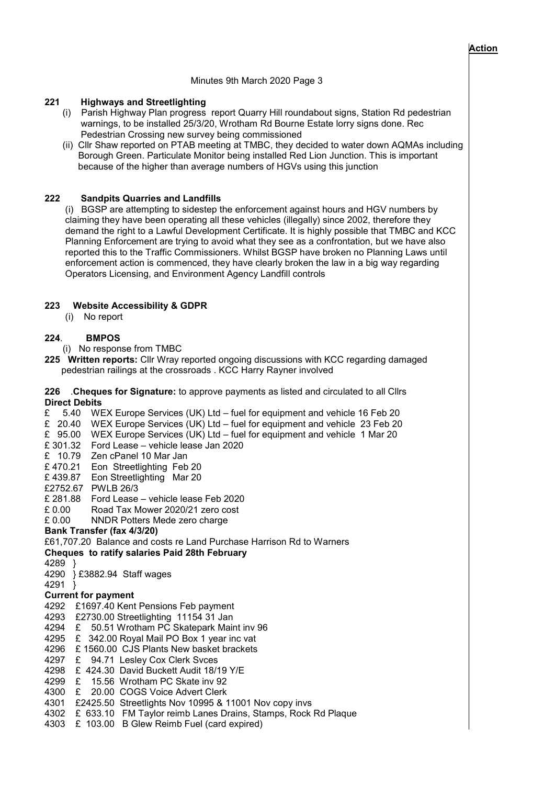#### **Action**

 $\overline{\phantom{a}}$ 

### Minutes 9th March 2020 Page 3

# **221 Highways and Streetlighting**

- (i) Parish Highway Plan progress report Quarry Hill roundabout signs, Station Rd pedestrian warnings, to be installed 25/3/20, Wrotham Rd Bourne Estate lorry signs done. Rec Pedestrian Crossing new survey being commissioned
- (ii) Cllr Shaw reported on PTAB meeting at TMBC, they decided to water down AQMAs including Borough Green. Particulate Monitor being installed Red Lion Junction. This is important because of the higher than average numbers of HGVs using this junction

# **222 Sandpits Quarries and Landfills**

 (i) BGSP are attempting to sidestep the enforcement against hours and HGV numbers by claiming they have been operating all these vehicles (illegally) since 2002, therefore they demand the right to a Lawful Development Certificate. It is highly possible that TMBC and KCC Planning Enforcement are trying to avoid what they see as a confrontation, but we have also reported this to the Traffic Commissioners. Whilst BGSP have broken no Planning Laws until enforcement action is commenced, they have clearly broken the law in a big way regarding Operators Licensing, and Environment Agency Landfill controls

# **223 Website Accessibility & GDPR**

(i) No report

# **224**. **BMPOS**

(i) No response from TMBC

**225 Written reports:** Cllr Wray reported ongoing discussions with KCC regarding damaged pedestrian railings at the crossroads . KCC Harry Rayner involved

### **226** .**Cheques for Signature:** to approve payments as listed and circulated to all Cllrs **Direct Debits**

£ 5.40 WEX Europe Services (UK) Ltd – fuel for equipment and vehicle 16 Feb 20

£ 20.40 WEX Europe Services (UK) Ltd – fuel for equipment and vehicle 23 Feb 20

£ 95.00 WEX Europe Services (UK) Ltd – fuel for equipment and vehicle 1 Mar 20

- £ 301.32 Ford Lease vehicle lease Jan 2020
- £ 10.79 Zen cPanel 10 Mar Jan

£ 470.21 Eon Streetlighting Feb 20

- £ 439.87 Eon Streetlighting Mar 20
- £2752.67 PWLB 26/3
- £ 281.88 Ford Lease vehicle lease Feb 2020
- £ 0.00 Road Tax Mower 2020/21 zero cost

£ 0.00 NNDR Potters Mede zero charge

# **Bank Transfer (fax 4/3/20)**

£61,707.20 Balance and costs re Land Purchase Harrison Rd to Warners

**Cheques to ratify salaries Paid 28th February**

- 4289 }
- 4290 } £3882.94 Staff wages
- 4291 }

# **Current for payment**

- 4292 £1697.40 Kent Pensions Feb payment
- 4293 £2730.00 Streetlighting 11154 31 Jan
- 4294 £ 50.51 Wrotham PC Skatepark Maint inv 96
- 4295 £ 342.00 Royal Mail PO Box 1 year inc vat
- 4296 £ 1560.00 CJS Plants New basket brackets
- 4297 £ 94.71 Lesley Cox Clerk Svces
- 4298 £ 424.30 David Buckett Audit 18/19 Y/E
- 4299 £ 15.56 Wrotham PC Skate inv 92
- 4300 £ 20.00 COGS Voice Advert Clerk
- 4301 £2425.50 Streetlights Nov 10995 & 11001 Nov copy invs
- 4302 £ 633.10 FM Taylor reimb Lanes Drains, Stamps, Rock Rd Plaque
- 4303 £ 103.00 B Glew Reimb Fuel (card expired)